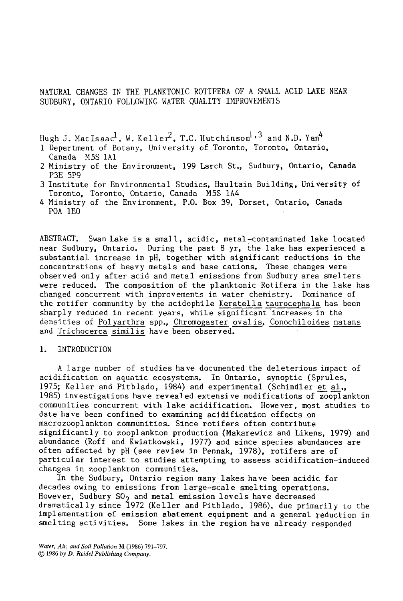# NATURAL CHANGES IN THE PLANKTONIC ROTIFERA OF A SMALL ACID LAKE NEAR SUDBURY, ONTARIO FOLLOWING WATER QUALITY IMPROVEMENTS

Hugh J. MacIsaa $c^1$ , W. Keller<sup>2</sup>, T.C. Hutchinson<sup>1, 3</sup> and N.D. Yan<sup>4</sup>

- 1 Department of Botany, University of Toronto, Toronto, Ontario, Canada M5S IAI
- 2 Ministry of the Environment, 199 Larch St., Sudbury, Ontario, Canada P3E 5P9
- 3 Institute for Environmental Studies, Haultain Building, University of Toronto, Toronto, Ontario, Canada M5S IA4
- 4 Ministry of the Environment, P.O. Box 39, Dorset, Ontario, Canada POA IEO

ABSTRACT. Swan Lake is a small, acidic, metal-contaminated lake located near Sudbury, Ontario. During the past 8 yr, the lake has experienced a substantial increase in pH, together with significant reductions in the concentrations of heavy metals and base cations. These changes were observed only after acid and metal emissions from Sudbury area smelters were reduced. The composition of the planktonic Rotifera in the lake has changed concurrent with improvements in water chemistry. Dominance of the rotifer community by the acidophile Keratella taurocephala has been sharply reduced in recent years, while significant increases in the densities of Polyarthra spp., Chromogaster ovalis, Conochiloides natans and Trichocerca similis have been observed.

# i. INTRODUCTION

A large number of studies have documented the deleterious impact of acidification on aquatic ecosystems. In Ontario, synoptic (Sprules, 1975; Keller and Pitblado, 1984) and experimental (Schindler et al., 1985) investigations have revealed extensive modifications of zooplankton communities concurrent with lake acidification. However, most studies to date have been confined to examining acidification effects on macrozooplankton communities. Since rotifers often contribute significantly to zooplankton production (Makarewicz and Likens, 1979) and abundance (Roff and Kwiatkowski, 1977) and since species abundances are often affected by pH (see review in Pennak, 1978), rotifers are of particular interest to studies attempting to assess acidification-induced changes in zooplankton communities.

In the Sudbury, Ontario region many lakes have been acidic for decades owing to emissions from large-scale smelting operations. However, Sudbury  $SO<sub>2</sub>$  and metal emission levels have decreased dramatically since 1972 (Keller and Pitblado, 1986), due primarily to the implementation of emission abatement equipment and a general reduction in smelting activities. Some lakes in the region have already responded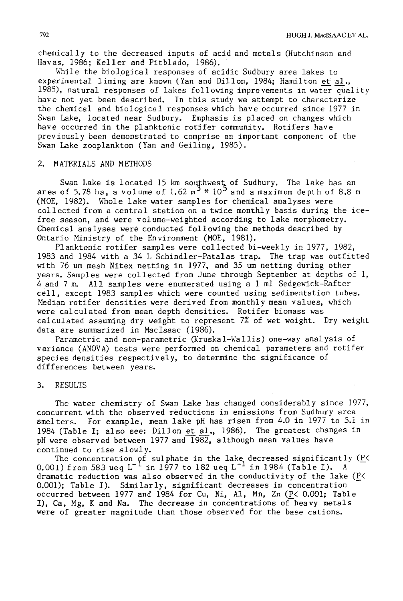chemically to the decreased inputs of acid and metals (Hutchinson and Havas, 1986; Keller and Pitblado, 1986).

While the biological responses of acidic Sudbury area lakes to experimental liming are known (Yan and Dillon, 1984; Hamilton et al., 1985), natural responses of lakes following improvements in water quality have not yet been described. In this study we attempt to characterize the chemical and biological responses which have occurred since 1977 in Swan Lake, located near Sudbury. Emphasis is placed on changes which have occurred in the planktonic rotifer community. Rotifers have previously been demonstrated to comprise an important component of the Swan Lake zooplankton (Yan and Geiling, 1985).

#### 2. MATERIALS AND METHODS

Swan Lake is located 15 km southwest of Sudbury. The lake has an area of 5.78 ha, a volume of 1.62 m $^{\sim}$  \* 10 $^{\sim}$  and a maximum depth of 8.8 m (MOE, 1982). Whole lake water samples for chemical analyses were collected from a central station on a twice monthly basis during the icefree season, and were volume-weighted according to lake morphometry. Chemical analyses were conducted following the methods described by Ontario Ministry of the Environment (MOE, 1981).

Planktonic rotifer samples were collected bi-weekly in 1977, 1982, 1983 and 1984 with a 34 L Schindler-Patalas trap. The trap was outfitted with 76 um mesh Nitex netting in 1977, and 35 um netting during other years. Samples were collected from June through September at depths of I, 4 and 7 m. All samples were enumerated using a I ml Sedgewick-Rafter cell, except 1983 samples which were counted using sedimentation tubes. Median rotifer densities were derived from monthly mean values, which were calculated from mean depth densities. Rotifer biomass was calculated assuming dry weight to represent 7% of wet weight. Dry weight data are summarized in MacIsaac (1986).

Parametric and non-parametric (Kruskal-Wallis) one-way analysis of variance (ANOVA) tests were performed on chemical parameters and rotifer species densities respectively, to determine the significance of differences between years.

# 3. RESULTS

The water chemistry of Swan Lake has changed considerably since 1977, concurrent with the observed reductions in emissions from Sudbury area smelters. For example, mean lake pH has risen from 4.0 in 1977 to 5.1 in 1984 (Table I; also see: Dillon et al., 1986). The greatest changes in pH were observed between 1977 and 1982, although mean values have continued to rise slowly.

The concentration of sulphate in the lake decreased significantly  $(P<sub>1</sub>$ 0.001) from 583 ueq  $L^{-1}$  in 1977 to 182 ueq  $L^{-1}$  in 1984 (Table I). A dramatic reduction was also observed in the conductivity of the lake (P< 0.001); Table I). Similarly, significant decreases in concentration occurred between 1977 and 1984 for Cu, Ni, AI, Mn, Zn (P< 0.001; Table I), Ca, Mg, K and Na. The decrease in concentrations of heavy metals were of greater magnitude than those observed for the base cations.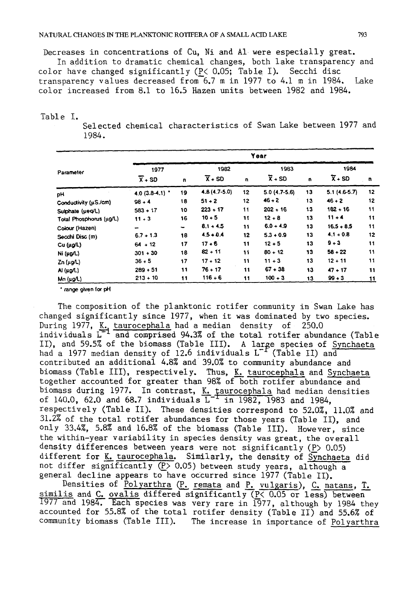Decreases in concentrations of Cu, Ni and AI were especially great.

In addition to dramatic chemical changes, both lake transparency and color have changed significantly  $(P \subset 0.05;$  Table I). Secchi disc transparency values decreased from 6.7 m in 1977 to 4.1 m in 1984. Lake color increased from 8.1 to 16.5 Hazen units between 1982 and 1984.

# Table I.

Selected chemical characteristics of Swan Lake between 1977 and 1984.

|                         | Year                |    |                     |    |                     |    |                     |    |  |
|-------------------------|---------------------|----|---------------------|----|---------------------|----|---------------------|----|--|
| Parameter               | 1977                |    | 1982                |    | 1983                |    | 1984                |    |  |
|                         | $\overline{X}$ + SD | n, | $\overline{x}$ + SD | u  | $\overline{x}$ + SD | n  | $\overline{X}$ + SD | n  |  |
| pН                      | $4.0(3.8-4.1)$      | 19 | 4.8 (4.7-5.0)       | 12 | $5.0(4.7-5.6)$      | 13 | $5.1(4.6-5.7)$      | 12 |  |
| Conductivity (µS./cm)   | $98 + 4$            | 18 | $51 + 2$            | 12 | $46 + 2$            | 13 | $46 + 2$            | 12 |  |
| Sulphate (µeq/L)        | $583 + 17$          | 10 | $223 + 17$          | 11 | $202 + 16$          | 13 | $182 + 16$          | 11 |  |
| Total Phosphorus (µg/L) | $11 + 3$            | 16 | $10 + 5$            | 11 | $12 + 8$            | 13 | $11 + 4$            | 11 |  |
| Colour (Hazen)          | -                   | -  | $8.1 + 4.5$         | 11 | $6.0 + 4.9$         | 13 | $16.5 + 8.5$        | 11 |  |
| Secchi Disc (m)         | $6.7 + 1.3$         | 18 | $4.5 + 0.4$         | 12 | $5.3 + 0.9$         | 13 | $4.1 + 0.8$         | 12 |  |
| Cu (µg/L)               | $64 + 12$           | 17 | $17 + 6$            | 11 | $12 + 5$            | 13 | $9 + 3$             | 11 |  |
| Ni (µg/L)               | $301 + 30$          | 18 | $82 + 11$           | 11 | $80 + 12$           | 13 | $58 + 22$           | 11 |  |
| $Zn$ ( $\mu$ g/L)       | $36 - 5$            | 17 | $17 + 12$           | 11 | $11 + 3$            | 13 | $12 + 11$           | 11 |  |
| Al (µg/L)               | $289 + 51$          | 11 | $76 + 17$           | 11 | $67 - 38$           | 13 | $47 + 17$           | 11 |  |
| Mn (µg/L)               | $213 + 10$          | 11 | $116 + 6$           | 11 | $100 + 3$           | 13 | $99 + 3$            | 11 |  |

" range **given for** pH

The composition of the planktonic rotifer community in Swan Lake has changed significantly since 1977, when it was dominated by two species. During 1977, <u>K. taurocephala</u> had a median density of 250.0 individuals L ~ and comprised 94.3% of the total rotifer abundance (Table II), and 59.5% of the biomass (Table III). A large species of Synchaeta had a 1977 median density of 12.6 individuals L  $^{\star}$  (Table II) and contributed an additional 4.8% and 39.0% to community abundance and biomass (Table III), respectively. Thus, K\_\_%taurocephala and Synchaeta together accounted for greater than 98% of both rotifer abundance and <sup>biom</sup>ass during 1977. In contrast, <u>K. taurocephala</u> had median densities of 140.0, 62.0 and 68.7 individuals  $L^+$  in 1982, 1983 and 1984, respectively (Table II). These densities correspond to 52.0%, Ii.0% and 31.2% of the total rotifer abundances for those years (Table II), and only 33.4%, 5.8% and 16.8% of the biomass (Table III). However, since the within-year variability in species density was great, the overall density differences between years were not significantly  $(P> 0.05)$ different for K. taurocephala. Similarly, the density of Synchaeta did not differ significantly  $(P > 0.05)$  between study years, although a general decline appears to have occurred since 1977 (Table II).

Densities of Polyarthra  $(P.$  remata and P. vulgaris), C. natans, T. similis and C. ovalis differed significantly  $(P< 0.05$  or less) between 1977 and 1984. Each species was very rare in 1977, although by 1984 they accounted for 55.8% of the total rotifer density (Table II) and 55.6% of community biomass (Table III). The increase in importance of Polyarthra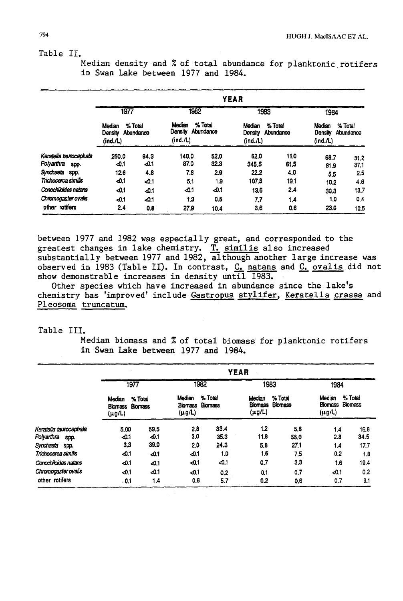Table II.

Median density and  $%$  of total abundance for planktonic rotifers in Swan Lake between 1977 and 1984.

|                                              | YEAR                          |                      |                              |                      |                               |                      |                               |                      |  |
|----------------------------------------------|-------------------------------|----------------------|------------------------------|----------------------|-------------------------------|----------------------|-------------------------------|----------------------|--|
|                                              | 1977                          |                      | 1982                         |                      |                               | 1983                 | 1984                          |                      |  |
|                                              | Median<br>Density<br>(ind./L) | % Total<br>Abundance | Median<br>Density<br>(ind.A) | % Total<br>Abundance | Median<br>Density<br>(ind./L) | % Total<br>Abundance | Median<br>Density<br>(ind./L) | % Total<br>Abundance |  |
| Keratella taurocephala<br>Polyarthra<br>SDO. | 250.0<br>$-0.1$               | 94.3<br>-0.1         | 140.0<br>87.0                | 52.0<br>32.3         | 62.0<br>345.5                 | 11.0<br>61.5         | 68.7<br>81.9                  | 31.2<br>37.1         |  |
| Synchaeta<br>spp.                            | 12.6                          | 4.8                  | 7.8                          | 2.9                  | 22.2                          | 4.0                  | 5.5                           | 2.5                  |  |
| Trichocarca similis                          | -0.1                          | $-0.1$               | 5.1                          | 1.9                  | 107.3                         | 19.1                 | 10.2                          | 4.6                  |  |
| Conochibides natans                          | -01                           | $-0.1$               | -0.1                         | -0.1                 | 13.6                          | $\mathbf{2.4}$       | 30.3                          | 13.7                 |  |
| Chromogaster ovalis                          | -0.1                          | $-0.1$               | 1.3                          | 0.5                  | 7.7                           | 1.4                  | 1.0                           | 0.4                  |  |
| other rotifers                               | 2.4                           | 0.8                  | 27.9                         | 10.4                 | 3,6                           | 0.6                  | 23.0                          | 10,5                 |  |

between 1977 and 1982 was especially great, and corresponded to the greatest changes in lake chemistry. <u>T. similis</u> also increased substantially between 1977 and 1982, although another large increase was observed in 1983 (Table II). In contrast, <u>C. natans</u> and <u>C. ovalis</u> did not show demonstrable increases in density until 1983.

Other species which have increased in abundance since the lake's chemistry has 'improved' include Gastropus stylifer, Keratella crassa and Pleosoma truncatum.

Table III.

Median biomass and % of total biomass for planktonic rotifers in Swan Lake between 1977 and 1984.

|                                      | <b>YEAR</b>                        |                           |                             |                    |                                         |                    |                             |                           |  |
|--------------------------------------|------------------------------------|---------------------------|-----------------------------|--------------------|-----------------------------------------|--------------------|-----------------------------|---------------------------|--|
|                                      | 1977                               |                           | 1982                        |                    | 1983                                    |                    | 1984                        |                           |  |
|                                      | Median<br><b>Biomass</b><br>(μg/L) | % Total<br><b>Biomass</b> | Median<br>Biomass<br>(µg/L) | % Total<br>Biomass | Median<br><b>Biomass</b><br>$(\mu g/L)$ | % Total<br>Biomass | Median<br>Biomass<br>(µg/L) | % Total<br><b>Biomass</b> |  |
| Keratella taurocephala<br>Polyarthra | 5.00                               | 59.5<br>$-0.1$            | 2.8<br>3.0                  | 33.4<br>35.3       | 1.2<br>11.8                             | 5.8                | 1.4                         | 16.8<br>34.5              |  |
| spp.<br>Synchaeta spp.               | $-0.1$<br>3.3                      | 39.0                      | 2.0                         | 24.3               | 5.8                                     | 55,0<br>27.1       | 2.8<br>1.4                  | 17.7                      |  |
| Trichocarca similis                  | $-0.1$                             | $-4.1$                    | $-0.1$                      | 1.0                | 1.6                                     | 7.5                | 0.2                         | 1,8                       |  |
| Conochiloides natans                 | $-0.1$                             | $-0.1$                    | $-0.1$                      | $-0.1$             | 0.7                                     | 3.3                | 1.6                         | 19.4                      |  |
| Chromogaster ovalis                  | $-0.1$                             | 40.1                      | ⊲0.1                        | 0.2                | 0.1                                     | 0,7                | $-0.1$                      | 0.2                       |  |
| other rotifers                       | .0.1                               | 1.4                       | 0.6                         | 5.7                | 0.2                                     | 0.6                | 0.7                         | 9.1                       |  |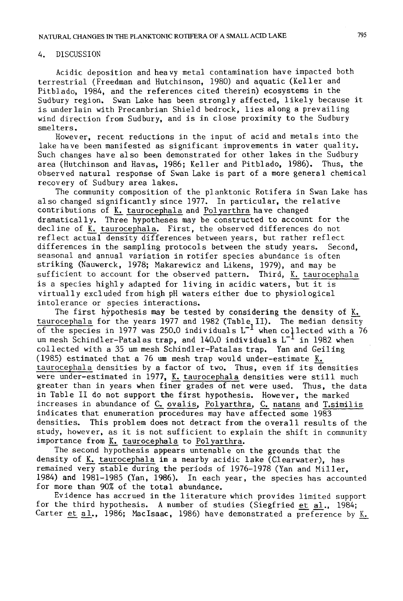# 4. DISCUSSION

Acidic deposition and heavy metal contamination have impacted both terrestrial (Freedman and Hutchinson, 1980) and aquatic (Keller and Pitblado, 1984, and the references cited therein) ecosystems in the Sudbury region. Swan Lake has been strongly affected, likely because it is underlain with Precambrian Shield bedrock, lies along a prevailing wind direction from Sudbury, and is in close proximity to the Sudbury smelters.

However, recent reductions in the input of acid and metals into the lake have been manifested as significant improvements in water quality. Such changes have also been demonstrated for other lakes in the Sudbury area (Hutchinson and Havas, 1986; Keller and Pitblado, 1986). Thus, the observed natural response of Swan Lake is part of a more general chemical recovery of Sudbury area lakes.

The community composition of the planktonic Rotifera in Swan Lake has also changed significantly since 1977. In particular, the relative contributions of K. taurocephala and Polyarthra have changed dramatically. Three hypotheses may be constructed to account for the decline of K. taurocephala. First, the observed differences do not reflect actual density differences between years, but rather reflect differences in the sampling protocols between the study years. Second, seasonal and annual variation in rotifer species abundance is often striking (Nauwerck, 1978; Makarewicz and Likens, 1979), and may be sufficient to account for the observed pattern. Third, K. taurocephala is a species highly adapted for living in acidic waters, but it is virtually excluded from high pH waters either due to physiological intolerance or species interactions.

The first hypothesis may be tested by considering the density of K. taurocephala for the years 1977 and 1982 (Table II). The median density of the species in 1977 was 250.0 individuals  $L^{-1}$  when collected with a 76 um mesh Schindler-Patalas trap, and 140.0 individuals  $L^{-1}$  in 1982 when collected with a 35 um mesh Schindler-Patalas trap. Yan and Geiling  $(1985)$  estimated that a 76 um mesh trap would under-estimate K. taurocephala densities by a factor of two. Thus, even if its densities were under-estimated in 1977, K. taurocephala densities were still much greater than in years when finer grades of net were used. Thus, the data in Table II do not support the first hypothesis. However, the marked increases in abundance of C. ovalis, Polyarthra, C. natans and T. similis indicates that enumeration procedures may have affected some 1983 densities. This problem does not detract from the overall results of the study, however, as it is not sufficient to explain the shift in community importance from K. taurocephala to Polyarthra.

The second hypothesis appears untenable on the grounds that the density of K. taurocephala in a nearby acidic lake (Clearwater), has remained very stable during the periods of 1976-1978 (Yan and Miller, 1984) and 1981-1985 (Yan, 1986). In each year, the species has accounted for more than 90% of the total abundance.

Evidence has accrued in the literature which provides limited support for the third hypothesis. A number of studies (Siegfried et al., 1984; Carter et al., 1986; MacIsaac, 1986) have demonstrated a preference by K.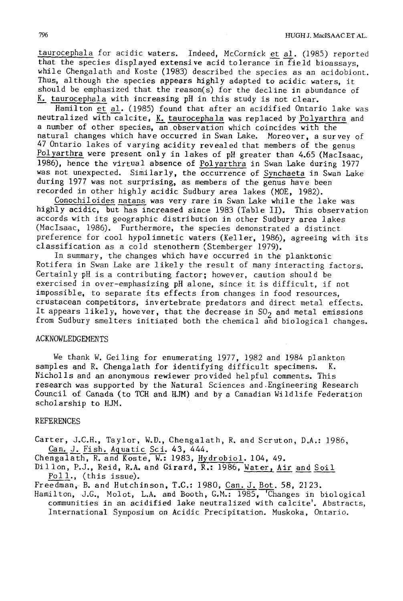taurocephala for acidic waters. Indeed, McCormick et al. (1985) reported that the species displayed extensive acid tolerance in field bioassays, while Chengalath and Koste (1983) described the species as an acidobiont. Thus, although the species appears highly adapted to acidic waters, it should be emphasized that the reason(s) for the decline in abundance of K. taurocephala with increasing pH in this study is not clear.

Hamilton et al. (1985) found that after an acidified Ontario lake was neutralized with calcite, K. taurocephala was replaced by Polyarthra and a number of other species, an observation which coincides with the natural changes which have occurred in Swan Lake. Moreover, a survey of 47 Ontario lakes of varying acidity revealed that members of the genus Polyarthra were present only in lakes of pH greater than 4.65 (MacIsaac, 1986), hence the virtual absence of Polyarthra in Swan Lake during 1977 was not unexpected. Similarly, the occurrence of Synchaeta in Swan Lake during 1977 was not surprising, as members of the genus have been recorded in other highly acidic Sudbury area lakes (MOE, 1982).

Conochiloides natans was very rare in Swan Lake while the lake was highly acidic, but has increased since 1983 (Table II). This observation accords with its geographic distribution in other Sudbury area lakes (Maclsaac, 1986). Furthermore, the species demonstrated a distinct preference for cool hypolimnetic waters (Keller, 1986), agreeing with its classification as a cold stenotherm (Stemberger 1979).

In summary, the changes which have occurred in the planktonic Rotifera in Swan Lake are likely the result of many interacting factors. Certainly pH is a contributing factor; however, caution should be exercised in over-emphasizing pH alone, since it is difficult, if not impossible, to separate its effects from changes in food resources, crustacean competitors, invertebrate predators and direct metal effects. It appears likely, however, that the decrease in  $SO<sub>2</sub>$  and metal emissions from Sudbury smelters initiated both the chemical and biological changes.

#### ACKNOWLEDGEMENTS

We thank W. Geiling for enumerating 1977, 1982 and 1984 plankton samples and R. Chengalath for identifying difficult specimens. K. Nicholls and an anonymous rewiewer provided helpful comments. This research was supported by the Natural Sciences and Engineering Research Council of Canada (to TCH and HJM) and by a Canadian Wildlife Federation scholarship to HJM.

#### REFERENCES

Carter, J.C.H., Taylor, W.D., Chengalath, R. and Scruton, D.A.: ]986, Can. J. Fish. Aquatic Sci. 43, 444.

Chengalath, R. and Koste, W.: 1983, Hydrobiol. 104, 49.

Dillon, P.J., Reid, R.A. and Girard, R.: 1986, Water, Air and Soil Poll., (this issue).

Freedman, B. and Hutchinson, T.C.: 1980, Can. J. Bot. 58, 2123.

Hamilton, J.G., Molot, L.A. and Booth, G.M.: 1985, Changes in biological communities in an acidified lake neutralized with calcite'. Abstracts, International Symposium on Acidic Precipitation. Muskoka, Ontario.